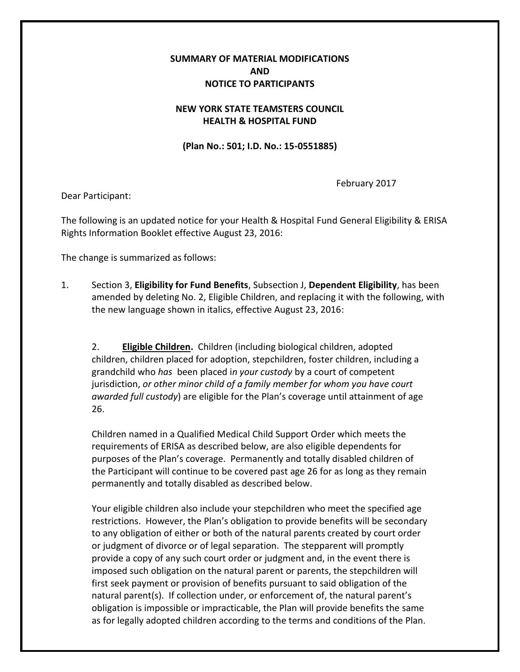## **SUMMARY OF MATERIAL MODIFICATIONS AND NOTICE TO PARTICIPANTS**

## **NEW YORK STATE TEAMSTERS COUNCIL HEALTH & HOSPITAL FUND**

**(Plan No.: 501; I.D. No.: 15-0551885)**

February 2017

Dear Participant:

The following is an updated notice for your Health & Hospital Fund General Eligibility & ERISA Rights Information Booklet effective August 23, 2016:

The change is summarized as follows:

1. Section 3, **Eligibility for Fund Benefits**, Subsection J, **Dependent Eligibility**, has been amended by deleting No. 2, Eligible Children, and replacing it with the following, with the new language shown in italics, effective August 23, 2016:

2. **Eligible Children.** Children (including biological children, adopted children, children placed for adoption, stepchildren, foster children, including a grandchild who *has* been placed i*n your custody* by a court of competent jurisdiction, *or other minor child of a family member for whom you have court awarded full custody*) are eligible for the Plan's coverage until attainment of age 26.

Children named in a Qualified Medical Child Support Order which meets the requirements of ERISA as described below, are also eligible dependents for purposes of the Plan's coverage. Permanently and totally disabled children of the Participant will continue to be covered past age 26 for as long as they remain permanently and totally disabled as described below.

Your eligible children also include your stepchildren who meet the specified age restrictions. However, the Plan's obligation to provide benefits will be secondary to any obligation of either or both of the natural parents created by court order or judgment of divorce or of legal separation. The stepparent will promptly provide a copy of any such court order or judgment and, in the event there is imposed such obligation on the natural parent or parents, the stepchildren will first seek payment or provision of benefits pursuant to said obligation of the natural parent(s). If collection under, or enforcement of, the natural parent's obligation is impossible or impracticable, the Plan will provide benefits the same as for legally adopted children according to the terms and conditions of the Plan.